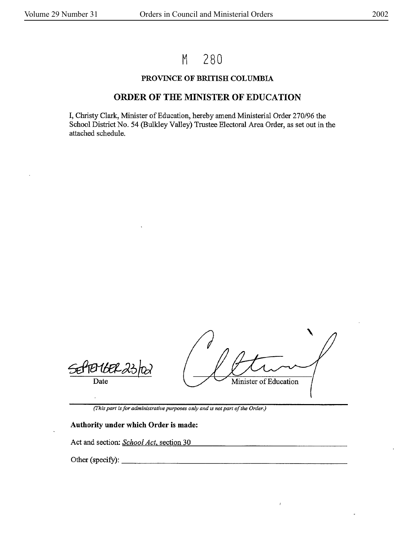# M 280

## PROVINCE OF BRITISH COLUMBIA

# ORDER OF THE MINISTER OF EDUCATION

I, Christy Clark, Minister of Education, hereby amend Ministerial Order 270/96 the School District No. 54 (Bulkley Valley) Trustee Electoral Area Order, as set out in the attached schedule.

Date

Minister of Education

*(This part is for administrative purposes only and is not part of the Order.)* 

#### **Authority under which Order is made:**

Act and section: *School Act*, section 30

Other (specify):  $\qquad \qquad$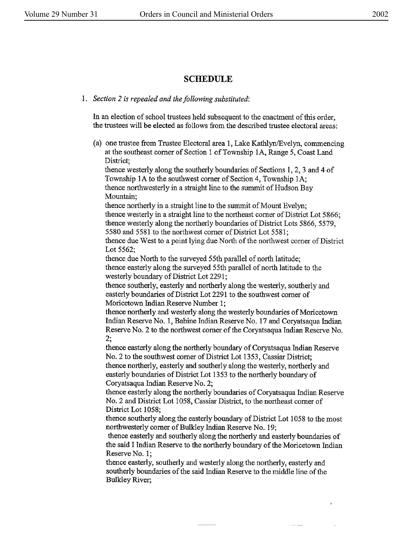# **SCHEDULE**

## I. *Section 2 is repealed and the following substituted:*

In an election of school trustees held subsequent to the enactment of this order, the trustees will be elected as follows from the described trustee electoral areas:

(a) one trustee from Trustee Electoral area 1, Lake Kathlyn/Evelyn, commencing at the southeast comer of Section 1 of Township IA, Range 5, Coast Land District;

thence westerly along the southerly boundaries of Sections 1, 2, 3 and 4 of Township IA to the southwest comer of Section 4, Township IA; thence northwesterly in a straight line to the summit of Hudson Bay Mountain;

thence northerly in a straight line to the summit of Mount Evelyn; thence westerly in a straight line to the northeast comer of District Lot 5866; thence westerly along the northerly boundaries of District Lots 5866, 5579, 5580 and 5581 to the northwest comer of District Lot 5581;

thence due West to a point lying due North of the northwest comer of District Lot 5562;

thence due North to the surveyed 55th parallel of north latitude; thence easterly along the surveyed 55th parallel of north latitude to the westerly boundary of District Lot 2291;

thence southerly, easterly and northerly along the westerly, southerly and easterly boundaries of District Lot 2291 to the southwest comer of Moricetown Indian Reserve Number 1;

thence northerly and westerly along the westerly boundaries of Moricetown Indian Reserve No. 1, Babine Indian Reserve No. 17 and Coryatsaqua Indian Reserve No. 2 to the northwest comer of the Coryatsaqua Indian Reserve No.

2;<br>thence easterly along the northerly boundary of Coryatsaqua Indian Reserve No. 2 to the southwest corner of District Lot 1353, Cassiar District; thence northerly, easterly and southerly along the westerly, northerly and easterly boundaries of District Lot 1353 to the northerly boundary of Coryatsaqua Indian Reserve No. 2;

thence easterly along the northerly boundaries of Coryatsaqua Indian Reserve No. 2 and District Lot 1058, Cassiar District, to the northeast corner of District Lot **1058;** 

thence southerly along the easterly boundary of District Lot 1058 to the most northwesterly corner of Bulkley Indian Reserve No. 19;

thence easterly and southerly along the northerly and easterly boundaries of the said I Indian Reserve to the northerly boundary of the Moricetown Indian Reserve No. 1;

 $\sim$  11  $-$ 

thence easterly, southerly and westerly along the northerly, easterly and southerly boundaries of the said Indian Reserve to the middle line of the Bulkley River;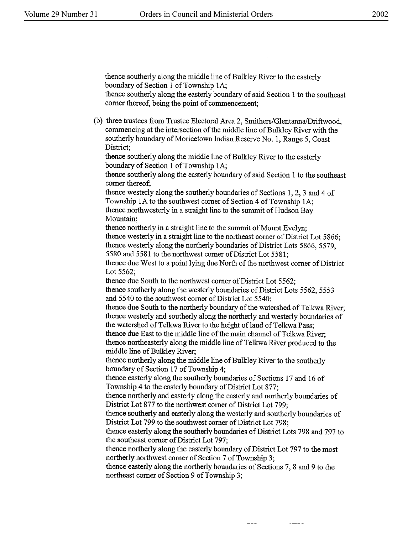thence southerly along the middle line of Bulkley River to the easterly boundary of Section 1 of Township IA;

thence southerly along the easterly boundary of said Section 1 to the southeast comer thereof, being the point of commencement;

(b) three trustees from Trustee Electoral Area 2, Smithers/Glentanna/Driftwood, commencing at the intersection of the middle line of Bulkley River with the southerly boundary of Moricetown Indian Reserve No. 1, Range 5, Coast District;

thence southerly along the middle line of Bulkley River to the easterly boundary of Section 1 of Township lA;

thence southerly along the easterly boundary of said Section 1 to the southeast comer thereof;

thence westerly along the southerly boundaries of Sections 1, 2, 3 and 4 of Township lA to the southwest corner of Section 4 of Township IA; thence northwesterly in a straight line to the summit of Hudson Bay Mountain;

thence northerly in a straight line to the summit of Mount Evelyn; thence westerly in a straight line to the northeast comer of District Lot 5866; thence westerly along the northerly boundaries of District Lots 5866, 5579, 5580 and 5581 to the northwest corner of District Lot 5581;

thence due West to a point lying due North of the northwest corner of District Lot 5562;

thence due South to the northwest comer of District Lot 5562;

thence southerly along the westerly boundaries of District Lots 5562, 5553 and 5540 to the southwest comer of District Lot 5540;

thence due South to the northerly boundary of the watershed of Telkwa River; thence westerly and southerly along the northerly and westerly boundaries of the watershed of Telkwa River to the height of land of Telkwa Pass;

thence due East to the middle line of the main channel of Telkwa River; thence northeasterly along the middle line of Telkwa River produced to the middle line of Bulkley River;

thence northerly along the middle line of Bulkley River to the southerly boundary of Section 17 of Township 4;

thence easterly along the southerly boundaries of Sections 17 and 16 of Township 4 to the easterly boundary of District Lot 877;

thence northerly and easterly along the easterly and northerly boundaries of District Lot 877 to the northwest comer of District Lot 799;

thence southerly and easterly along the westerly and southerly boundaries of District Lot 799 to the southwest comer of District Lot 798;

thence easterly along the southerly boundaries of District Lots 798 and 797 to the southeast corner of District Lot 797;

thence northerly along the easterly boundary of District Lot 797 to the most northerly northwest comer of Section 7 of Township 3;

thence easterly along the northerly boundaries of Sections 7, 8 and 9 to the northeast comer of Section 9 of Township 3;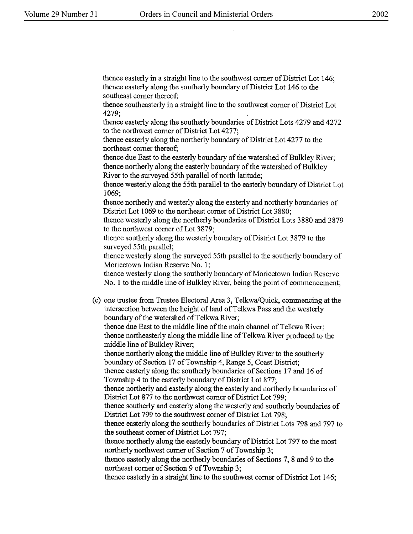thence easterly in a straight line to the southwest comer of District Lot 146; thence easterly along the southerly boundary of District Lot 146 to the southeast comer thereof;

thence southeasterly in a straight line to the southwest corner of District Lot 4279;

thence easterly along the southerly boundaries of District Lots 4279 and 4272 to the northwest comer of District Lot 4277;

thence easterly along the northerly boundary of District Lot 4277 to the northeast corner thereof;

thence due East to the easterly boundary of the watershed of Bulkley River; thence northerly along the easterly boundary of the watershed of Bulkley River to the surveyed 55th parallel of north latitude;

thence westerly along the 55th parallel to the easterly boundary of District Lot 1069;

thence northerly and westerly along the easterly and northerly boundaries of District Lot 1069 to the northeast comer of District Lot 3880;

thence westerly along the northerly boundaries of District Lots 3880 and 3879 to the northwest corner of Lot 3879;

thence southerly along the westerly boundary of District Lot 3879 to the surveyed 55th parallel;

thence westerly along the surveyed 55th parallel to the southerly boundary of Moricetown Indian Reserve No. 1;

thence westerly along the southerly boundary of Moricetown Indian Reserve No. 1 to the middle line of Bulkley River, being the point of commencement;

(c) one trustee from Trustee Electoral Area 3, Telkwa/Quick, commencing at the intersection between the height of land of Telkwa Pass and the westerly boundary of the watershed of Telkwa River;

thence due East to the middle line of the main channel of Telkwa River; thence northeasterly along the middle line of Telkwa River produced to the middle line of Bulkley River;

thence northerly along the middle line of Bulkley River to the southerly boundary of Section 17 of Township 4, Range 5, Coast District;

thence easterly along the southerly boundaries of Sections 17 and 16 of Township 4 to the easterly boundary of District Lot 877;

thence northerly and easterly along the easterly and northerly boundaries of District Lot 877 to the northwest comer of District Lot 799;

thence southerly and easterly along the westerly and southerly boundaries of District Lot 799 to the southwest comer of District Lot 798;

thence easterly along the southerly boundaries of District Lots 798 and 797 to the southeast comer of District Lot 797;

thence northerly along the easterly boundary of District Lot 797 to the most northerly northwest comer of Section 7 of Township 3;

thence easterly along the northerly boundaries of Sections 7, 8 and 9 to the northeast comer of Section 9 of Township 3;

thence easterly in a straight line to the southwest corner of District Lot 146;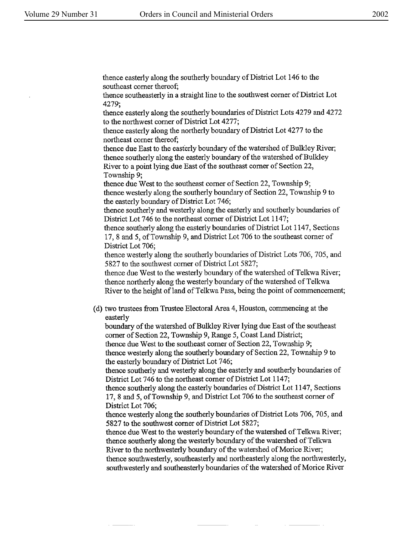thence easterly along the southerly boundary of District Lot 146 to the southeast comer thereof;

thence southeasterly in a straight line to the southwest corner of District Lot 4279;

thence easterly along the southerly boundaries of District Lots 4279 and 4272 to the northwest comer of District Lot 4277;

thence easterly along the northerly boundary of District Lot 4277 to the northeast comer thereof;

thence due East to the easterly boundary of the watershed of Bulkley River; thence southerly along the easterly boundary of the watershed of Bulkley River to a point lying due East of the southeast corner of Section 22, Township 9;

thence due West to the southeast comer of Section 22, Township 9; thence westerly along the southerly boundary of Section 22, Township 9 to the easterly boundary of District Lot 746;

thence southerly and westerly along the easterly and southerly boundaries of District Lot 746 to the northeast comer of District Lot 1147;

thence southerly along the easterly boundaries of District Lot 1147, Sections 17, 8 and 5, of Township 9, and District Lot 706 to the southeast comer of District Lot 706;

thence westerly along the southerly boundaries of District Lots 706, 705, and 5827 to the southwest comer of District Lot 5827;

thence due West to the westerly boundary of the watershed of Telkwa River; thence northerly along the westerly boundary of the watershed of Telkwa River to the height of land of Telkwa Pass, being the point of commencement;

( d) two trustees from Trustee Electoral Area 4, Houston, commencing at the easterly

boundary of the watershed of Bulkley River lying due East of the southeast comer of Section 22, Township 9, Range 5, Coast Land District;

thence due West to the southeast comer of Section 22, Township 9; thence westerly along the southerly boundary of Section 22, Township 9 to the easterly boundary of District Lot 746;

thence southerly and westerly along the easterly and southerly boundaries of District Lot 746 to the northeast corner of District Lot 1147;

thence southerly along the easterly boundaries of District Lot 1147, Sections 17, 8 and *5,* of Township 9, and District Lot 706 to the southeast corner of District Lot 706;

thence westerly along the southerly boundaries of District Lots 706, 705, and 5827 to the southwest corner of District Lot 5827;

thence due West to the westerly boundary of the watershed of Telkwa River; thence southerly along the westerly boundary of the watershed of Telkwa River to the northwesterly boundary of the watershed of Morice River;

thence southwesterly, southeasterly and northeasterly along the northwesterly, southwesterly and southeasterly boundaries of the watershed of Morice River